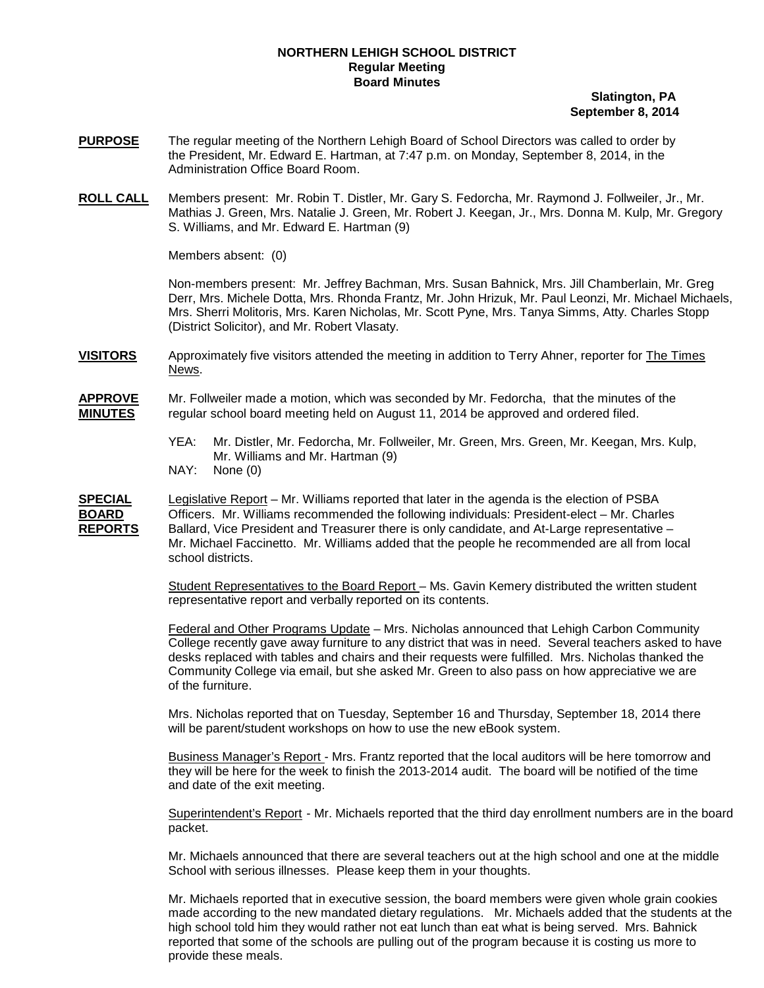## **NORTHERN LEHIGH SCHOOL DISTRICT Regular Meeting Board Minutes**

## **Slatington, PA September 8, 2014**

- **PURPOSE** The regular meeting of the Northern Lehigh Board of School Directors was called to order by the President, Mr. Edward E. Hartman, at 7:47 p.m. on Monday, September 8, 2014, in the Administration Office Board Room.
- **ROLL CALL** Members present: Mr. Robin T. Distler, Mr. Gary S. Fedorcha, Mr. Raymond J. Follweiler, Jr., Mr. Mathias J. Green, Mrs. Natalie J. Green, Mr. Robert J. Keegan, Jr., Mrs. Donna M. Kulp, Mr. Gregory S. Williams, and Mr. Edward E. Hartman (9)

Members absent: (0)

Non-members present: Mr. Jeffrey Bachman, Mrs. Susan Bahnick, Mrs. Jill Chamberlain, Mr. Greg Derr, Mrs. Michele Dotta, Mrs. Rhonda Frantz, Mr. John Hrizuk, Mr. Paul Leonzi, Mr. Michael Michaels, Mrs. Sherri Molitoris, Mrs. Karen Nicholas, Mr. Scott Pyne, Mrs. Tanya Simms, Atty. Charles Stopp (District Solicitor), and Mr. Robert Vlasaty.

**VISITORS** Approximately five visitors attended the meeting in addition to Terry Ahner, reporter for The Times News.

**APPROVE** Mr. Follweiler made a motion, which was seconded by Mr. Fedorcha, that the minutes of the **MINUTES** regular school board meeting held on August 11, 2014 be approved and ordered filed.

- YEA: Mr. Distler, Mr. Fedorcha, Mr. Follweiler, Mr. Green, Mrs. Green, Mr. Keegan, Mrs. Kulp, Mr. Williams and Mr. Hartman (9)
- NAY: None (0)

**SPECIAL** Legislative Report – Mr. Williams reported that later in the agenda is the election of PSBA **BOARD** Officers. Mr. Williams recommended the following individuals: President-elect – Mr. Charles **REPORTS** Mr. Michael Faccinetto. Mr. Williams added that the people he recommended are all from local school districts. Ballard, Vice President and Treasurer there is only candidate, and At-Large representative –

> Student Representatives to the Board Report – Ms. Gavin Kemery distributed the written student representative report and verbally reported on its contents.

<u>Federal and Other Programs Update</u> – Mrs. Nicholas announced that Lehigh Carbon Community College recently gave away furniture to any district that was in need. Several teachers asked to have desks replaced with tables and chairs and their requests were fulfilled. Mrs. Nicholas thanked the Community College via email, but she asked Mr. Green to also pass on how appreciative we are of the furniture.

Mrs. Nicholas reported that on Tuesday, September 16 and Thursday, September 18, 2014 there will be parent/student workshops on how to use the new eBook system.

Business Manager's Report - Mrs. Frantz reported that the local auditors will be here tomorrow and they will be here for the week to finish the 2013-2014 audit. The board will be notified of the time and date of the exit meeting.

<u>Superintendent's Report</u> - Mr. Michaels reported that the third day enrollment numbers are in the board packet.

Mr. Michaels announced that there are several teachers out at the high school and one at the middle School with serious illnesses. Please keep them in your thoughts.

Mr. Michaels reported that in executive session, the board members were given whole grain cookies made according to the new mandated dietary regulations. Mr. Michaels added that the students at the high school told him they would rather not eat lunch than eat what is being served. Mrs. Bahnick reported that some of the schools are pulling out of the program because it is costing us more to provide these meals.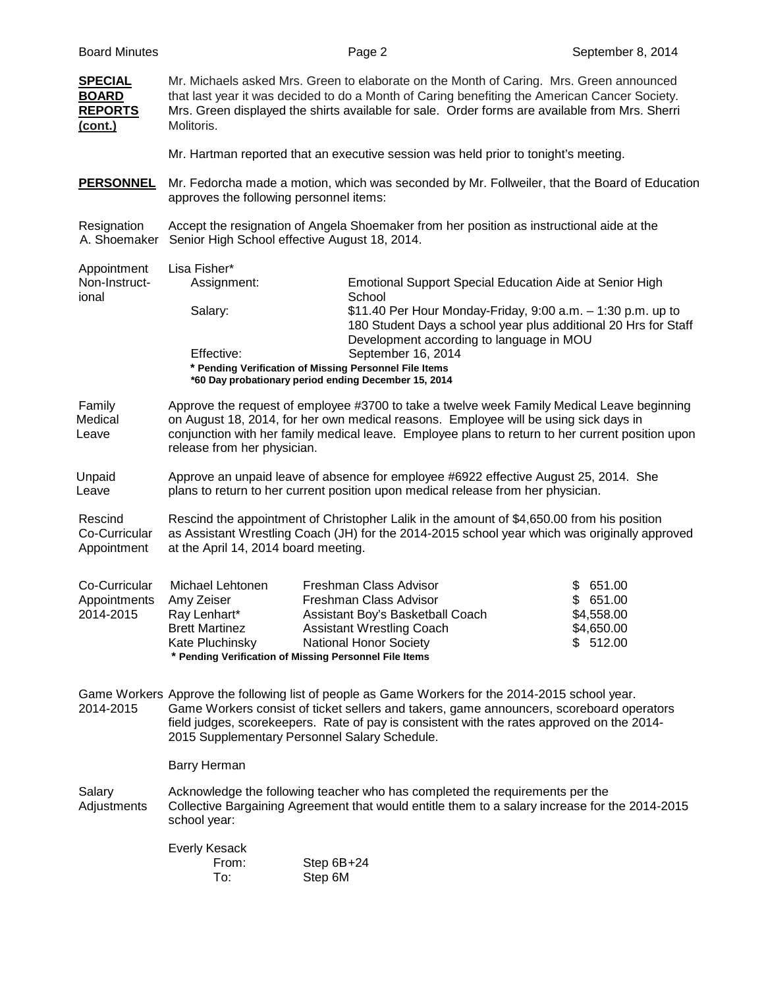| <b>SPECIAL</b><br><b>BOARD</b><br><b>REPORTS</b><br>(cont.) | Mr. Michaels asked Mrs. Green to elaborate on the Month of Caring. Mrs. Green announced<br>that last year it was decided to do a Month of Caring benefiting the American Cancer Society.<br>Mrs. Green displayed the shirts available for sale. Order forms are available from Mrs. Sherri<br>Molitoris.                                    |                                                                                                                                                                                                                     |                                                                                                                                |
|-------------------------------------------------------------|---------------------------------------------------------------------------------------------------------------------------------------------------------------------------------------------------------------------------------------------------------------------------------------------------------------------------------------------|---------------------------------------------------------------------------------------------------------------------------------------------------------------------------------------------------------------------|--------------------------------------------------------------------------------------------------------------------------------|
|                                                             |                                                                                                                                                                                                                                                                                                                                             | Mr. Hartman reported that an executive session was held prior to tonight's meeting.                                                                                                                                 |                                                                                                                                |
| <b>PERSONNEL</b>                                            | Mr. Fedorcha made a motion, which was seconded by Mr. Follweiler, that the Board of Education<br>approves the following personnel items:                                                                                                                                                                                                    |                                                                                                                                                                                                                     |                                                                                                                                |
| Resignation<br>A. Shoemaker                                 | Accept the resignation of Angela Shoemaker from her position as instructional aide at the<br>Senior High School effective August 18, 2014.                                                                                                                                                                                                  |                                                                                                                                                                                                                     |                                                                                                                                |
| Appointment<br>Non-Instruct-<br>ional                       | Lisa Fisher*<br>Assignment:                                                                                                                                                                                                                                                                                                                 | <b>Emotional Support Special Education Aide at Senior High</b>                                                                                                                                                      |                                                                                                                                |
|                                                             | Salary:                                                                                                                                                                                                                                                                                                                                     | School                                                                                                                                                                                                              | \$11.40 Per Hour Monday-Friday, 9:00 a.m. - 1:30 p.m. up to<br>180 Student Days a school year plus additional 20 Hrs for Staff |
|                                                             | Effective:                                                                                                                                                                                                                                                                                                                                  | Development according to language in MOU<br>September 16, 2014<br>* Pending Verification of Missing Personnel File Items<br>*60 Day probationary period ending December 15, 2014                                    |                                                                                                                                |
| Family<br>Medical<br>Leave                                  | Approve the request of employee #3700 to take a twelve week Family Medical Leave beginning<br>on August 18, 2014, for her own medical reasons. Employee will be using sick days in<br>conjunction with her family medical leave. Employee plans to return to her current position upon<br>release from her physician.                       |                                                                                                                                                                                                                     |                                                                                                                                |
| Unpaid<br>Leave                                             | Approve an unpaid leave of absence for employee #6922 effective August 25, 2014. She<br>plans to return to her current position upon medical release from her physician.                                                                                                                                                                    |                                                                                                                                                                                                                     |                                                                                                                                |
| Rescind<br>Co-Curricular<br>Appointment                     | Rescind the appointment of Christopher Lalik in the amount of \$4,650.00 from his position<br>as Assistant Wrestling Coach (JH) for the 2014-2015 school year which was originally approved<br>at the April 14, 2014 board meeting.                                                                                                         |                                                                                                                                                                                                                     |                                                                                                                                |
| Co-Curricular<br>Appointments<br>2014-2015                  | Michael Lehtonen<br>Amy Zeiser<br>Ray Lenhart*<br><b>Brett Martinez</b><br>Kate Pluchinsky                                                                                                                                                                                                                                                  | Freshman Class Advisor<br>Freshman Class Advisor<br>Assistant Boy's Basketball Coach<br><b>Assistant Wrestling Coach</b><br><b>National Honor Society</b><br>* Pending Verification of Missing Personnel File Items | 651.00<br>\$<br>651.00<br>\$<br>\$4,558.00<br>\$4,650.00<br>512.00<br>\$                                                       |
| 2014-2015                                                   | Game Workers Approve the following list of people as Game Workers for the 2014-2015 school year.<br>Game Workers consist of ticket sellers and takers, game announcers, scoreboard operators<br>field judges, scorekeepers. Rate of pay is consistent with the rates approved on the 2014-<br>2015 Supplementary Personnel Salary Schedule. |                                                                                                                                                                                                                     |                                                                                                                                |
|                                                             | <b>Barry Herman</b>                                                                                                                                                                                                                                                                                                                         |                                                                                                                                                                                                                     |                                                                                                                                |
| Salary<br>Adjustments                                       | Acknowledge the following teacher who has completed the requirements per the<br>Collective Bargaining Agreement that would entitle them to a salary increase for the 2014-2015<br>school year:                                                                                                                                              |                                                                                                                                                                                                                     |                                                                                                                                |
|                                                             | <b>Everly Kesack</b><br>From:<br>To:                                                                                                                                                                                                                                                                                                        | Step 6B+24<br>Step 6M                                                                                                                                                                                               |                                                                                                                                |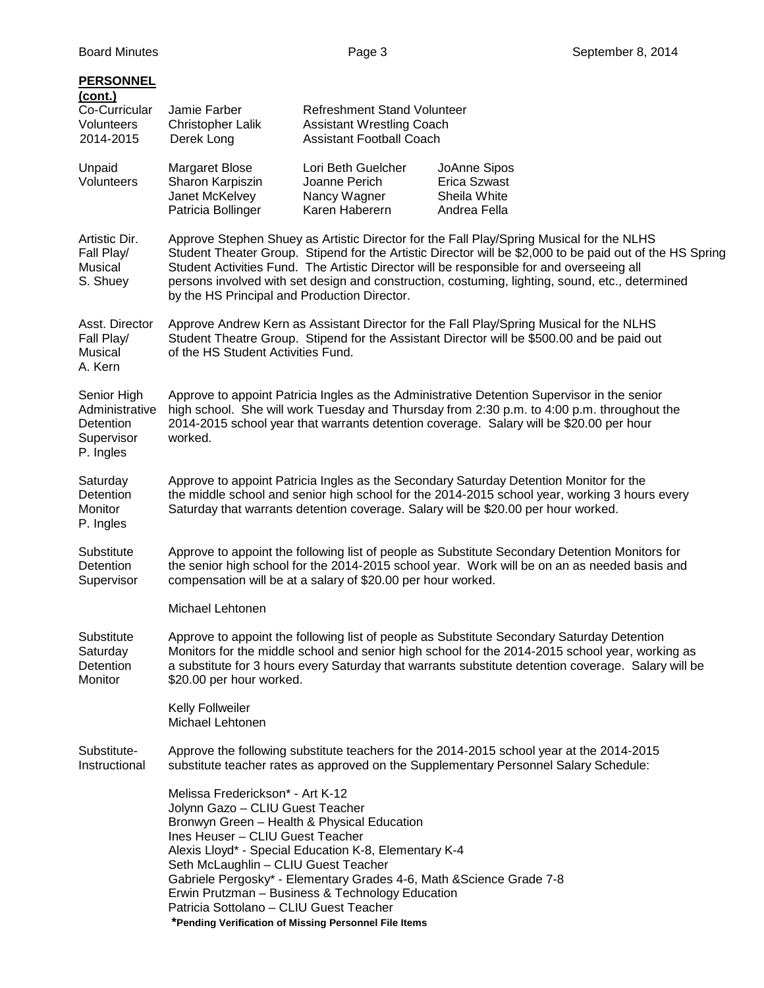| <b>PERSONNEL</b><br>(cont.)                                                  |                                                                                                                                                                                                                                                                                                                                                                                                                                                      |                                                                                                                                                                                                                                            |                                                                                                                                                                                                                                                                                                      |
|------------------------------------------------------------------------------|------------------------------------------------------------------------------------------------------------------------------------------------------------------------------------------------------------------------------------------------------------------------------------------------------------------------------------------------------------------------------------------------------------------------------------------------------|--------------------------------------------------------------------------------------------------------------------------------------------------------------------------------------------------------------------------------------------|------------------------------------------------------------------------------------------------------------------------------------------------------------------------------------------------------------------------------------------------------------------------------------------------------|
| Co-Curricular<br>Volunteers<br>2014-2015                                     | Jamie Farber<br><b>Christopher Lalik</b><br>Derek Long                                                                                                                                                                                                                                                                                                                                                                                               | <b>Refreshment Stand Volunteer</b><br><b>Assistant Wrestling Coach</b><br><b>Assistant Football Coach</b>                                                                                                                                  |                                                                                                                                                                                                                                                                                                      |
| Unpaid<br>Volunteers                                                         | <b>Margaret Blose</b><br>Sharon Karpiszin<br>Janet McKelvey<br>Patricia Bollinger                                                                                                                                                                                                                                                                                                                                                                    | Lori Beth Guelcher<br>Joanne Perich<br>Nancy Wagner<br>Karen Haberern                                                                                                                                                                      | JoAnne Sipos<br><b>Erica Szwast</b><br>Sheila White<br>Andrea Fella                                                                                                                                                                                                                                  |
| Artistic Dir.<br>Fall Play/<br>Musical<br>S. Shuey                           | Approve Stephen Shuey as Artistic Director for the Fall Play/Spring Musical for the NLHS<br>Student Theater Group. Stipend for the Artistic Director will be \$2,000 to be paid out of the HS Spring<br>Student Activities Fund. The Artistic Director will be responsible for and overseeing all<br>persons involved with set design and construction, costuming, lighting, sound, etc., determined<br>by the HS Principal and Production Director. |                                                                                                                                                                                                                                            |                                                                                                                                                                                                                                                                                                      |
| Asst. Director<br>Fall Play/<br>Musical<br>A. Kern                           | Approve Andrew Kern as Assistant Director for the Fall Play/Spring Musical for the NLHS<br>Student Theatre Group. Stipend for the Assistant Director will be \$500.00 and be paid out<br>of the HS Student Activities Fund.                                                                                                                                                                                                                          |                                                                                                                                                                                                                                            |                                                                                                                                                                                                                                                                                                      |
| Senior High<br>Administrative<br><b>Detention</b><br>Supervisor<br>P. Ingles | Approve to appoint Patricia Ingles as the Administrative Detention Supervisor in the senior<br>high school. She will work Tuesday and Thursday from 2:30 p.m. to 4:00 p.m. throughout the<br>2014-2015 school year that warrants detention coverage. Salary will be \$20.00 per hour<br>worked.                                                                                                                                                      |                                                                                                                                                                                                                                            |                                                                                                                                                                                                                                                                                                      |
| Saturday<br>Detention<br>Monitor<br>P. Ingles                                |                                                                                                                                                                                                                                                                                                                                                                                                                                                      |                                                                                                                                                                                                                                            | Approve to appoint Patricia Ingles as the Secondary Saturday Detention Monitor for the<br>the middle school and senior high school for the 2014-2015 school year, working 3 hours every<br>Saturday that warrants detention coverage. Salary will be \$20.00 per hour worked.                        |
| Substitute<br>Detention<br>Supervisor                                        |                                                                                                                                                                                                                                                                                                                                                                                                                                                      | compensation will be at a salary of \$20.00 per hour worked.                                                                                                                                                                               | Approve to appoint the following list of people as Substitute Secondary Detention Monitors for<br>the senior high school for the 2014-2015 school year. Work will be on an as needed basis and                                                                                                       |
|                                                                              | Michael Lehtonen                                                                                                                                                                                                                                                                                                                                                                                                                                     |                                                                                                                                                                                                                                            |                                                                                                                                                                                                                                                                                                      |
| Substitute<br>Saturday<br>Detention<br>Monitor                               | \$20.00 per hour worked.                                                                                                                                                                                                                                                                                                                                                                                                                             |                                                                                                                                                                                                                                            | Approve to appoint the following list of people as Substitute Secondary Saturday Detention<br>Monitors for the middle school and senior high school for the 2014-2015 school year, working as<br>a substitute for 3 hours every Saturday that warrants substitute detention coverage. Salary will be |
|                                                                              | Kelly Follweiler<br>Michael Lehtonen                                                                                                                                                                                                                                                                                                                                                                                                                 |                                                                                                                                                                                                                                            |                                                                                                                                                                                                                                                                                                      |
| Substitute-<br>Instructional                                                 |                                                                                                                                                                                                                                                                                                                                                                                                                                                      |                                                                                                                                                                                                                                            | Approve the following substitute teachers for the 2014-2015 school year at the 2014-2015<br>substitute teacher rates as approved on the Supplementary Personnel Salary Schedule:                                                                                                                     |
|                                                                              | Melissa Frederickson* - Art K-12<br>Jolynn Gazo - CLIU Guest Teacher<br>Bronwyn Green - Health & Physical Education<br>Ines Heuser - CLIU Guest Teacher<br>Seth McLaughlin - CLIU Guest Teacher<br>Patricia Sottolano - CLIU Guest Teacher                                                                                                                                                                                                           | Alexis Lloyd* - Special Education K-8, Elementary K-4<br>Gabriele Pergosky* - Elementary Grades 4-6, Math & Science Grade 7-8<br>Erwin Prutzman - Business & Technology Education<br>*Pending Verification of Missing Personnel File Items |                                                                                                                                                                                                                                                                                                      |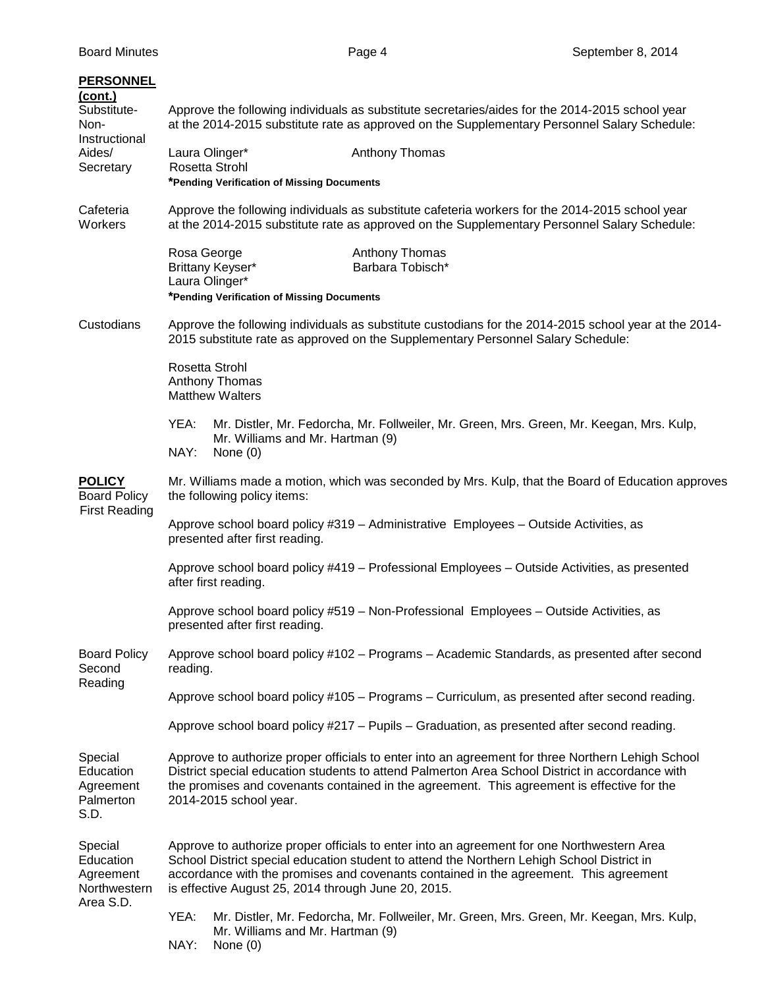| <b>PERSONNEL</b><br>(cont.)<br>Substitute-<br>Non-<br>Instructional<br>Aides/<br>Secretary | Approve the following individuals as substitute secretaries/aides for the 2014-2015 school year<br>at the 2014-2015 substitute rate as approved on the Supplementary Personnel Salary Schedule:<br>Laura Olinger*<br>Anthony Thomas<br>Rosetta Strohl                                                                                    |  |
|--------------------------------------------------------------------------------------------|------------------------------------------------------------------------------------------------------------------------------------------------------------------------------------------------------------------------------------------------------------------------------------------------------------------------------------------|--|
| Cafeteria<br>Workers                                                                       | *Pending Verification of Missing Documents<br>Approve the following individuals as substitute cafeteria workers for the 2014-2015 school year<br>at the 2014-2015 substitute rate as approved on the Supplementary Personnel Salary Schedule:                                                                                            |  |
|                                                                                            | Rosa George<br>Anthony Thomas<br>Barbara Tobisch*<br>Brittany Keyser*<br>Laura Olinger*<br>*Pending Verification of Missing Documents                                                                                                                                                                                                    |  |
| Custodians                                                                                 | Approve the following individuals as substitute custodians for the 2014-2015 school year at the 2014-<br>2015 substitute rate as approved on the Supplementary Personnel Salary Schedule:                                                                                                                                                |  |
|                                                                                            | Rosetta Strohl<br>Anthony Thomas<br><b>Matthew Walters</b>                                                                                                                                                                                                                                                                               |  |
|                                                                                            | Mr. Distler, Mr. Fedorcha, Mr. Follweiler, Mr. Green, Mrs. Green, Mr. Keegan, Mrs. Kulp,<br>YEA:<br>Mr. Williams and Mr. Hartman (9)<br>NAY:<br>None $(0)$                                                                                                                                                                               |  |
| <b>POLICY</b><br><b>Board Policy</b>                                                       | Mr. Williams made a motion, which was seconded by Mrs. Kulp, that the Board of Education approves<br>the following policy items:                                                                                                                                                                                                         |  |
| <b>First Reading</b>                                                                       | Approve school board policy #319 - Administrative Employees - Outside Activities, as<br>presented after first reading.                                                                                                                                                                                                                   |  |
|                                                                                            | Approve school board policy #419 - Professional Employees - Outside Activities, as presented<br>after first reading.                                                                                                                                                                                                                     |  |
|                                                                                            | Approve school board policy #519 - Non-Professional Employees - Outside Activities, as<br>presented after first reading.                                                                                                                                                                                                                 |  |
| <b>Board Policy</b><br>Second<br>Reading                                                   | Approve school board policy #102 - Programs - Academic Standards, as presented after second<br>reading.                                                                                                                                                                                                                                  |  |
|                                                                                            | Approve school board policy #105 - Programs - Curriculum, as presented after second reading.                                                                                                                                                                                                                                             |  |
|                                                                                            | Approve school board policy #217 - Pupils - Graduation, as presented after second reading.                                                                                                                                                                                                                                               |  |
| Special<br>Education<br>Agreement<br>Palmerton<br>S.D.                                     | Approve to authorize proper officials to enter into an agreement for three Northern Lehigh School<br>District special education students to attend Palmerton Area School District in accordance with<br>the promises and covenants contained in the agreement. This agreement is effective for the<br>2014-2015 school year.             |  |
| Special<br>Education<br>Agreement<br>Northwestern<br>Area S.D.                             | Approve to authorize proper officials to enter into an agreement for one Northwestern Area<br>School District special education student to attend the Northern Lehigh School District in<br>accordance with the promises and covenants contained in the agreement. This agreement<br>is effective August 25, 2014 through June 20, 2015. |  |
|                                                                                            | YEA:<br>Mr. Distler, Mr. Fedorcha, Mr. Follweiler, Mr. Green, Mrs. Green, Mr. Keegan, Mrs. Kulp,<br>Mr. Williams and Mr. Hartman (9)<br>NAY:<br>None $(0)$                                                                                                                                                                               |  |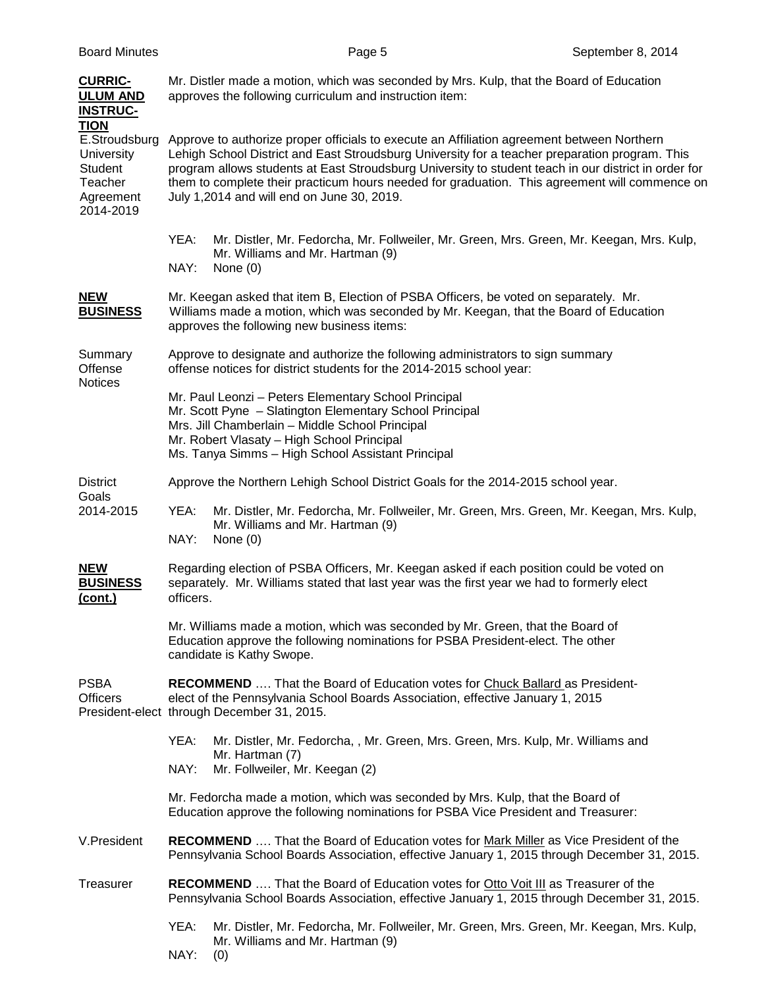| <b>CURRIC-</b><br><b>ULUM AND</b><br><b>INSTRUC-</b><br><b>TION</b>         | Mr. Distler made a motion, which was seconded by Mrs. Kulp, that the Board of Education<br>approves the following curriculum and instruction item:                                                                                                                                                                                                                                                                                                  |  |
|-----------------------------------------------------------------------------|-----------------------------------------------------------------------------------------------------------------------------------------------------------------------------------------------------------------------------------------------------------------------------------------------------------------------------------------------------------------------------------------------------------------------------------------------------|--|
| E.Stroudsburg<br>University<br>Student<br>Teacher<br>Agreement<br>2014-2019 | Approve to authorize proper officials to execute an Affiliation agreement between Northern<br>Lehigh School District and East Stroudsburg University for a teacher preparation program. This<br>program allows students at East Stroudsburg University to student teach in our district in order for<br>them to complete their practicum hours needed for graduation. This agreement will commence on<br>July 1,2014 and will end on June 30, 2019. |  |
|                                                                             | YEA:<br>Mr. Distler, Mr. Fedorcha, Mr. Follweiler, Mr. Green, Mrs. Green, Mr. Keegan, Mrs. Kulp,<br>Mr. Williams and Mr. Hartman (9)<br>NAY:<br>None $(0)$                                                                                                                                                                                                                                                                                          |  |
| <b>NEW</b><br><b>BUSINESS</b>                                               | Mr. Keegan asked that item B, Election of PSBA Officers, be voted on separately. Mr.<br>Williams made a motion, which was seconded by Mr. Keegan, that the Board of Education<br>approves the following new business items:                                                                                                                                                                                                                         |  |
| Summary<br>Offense<br><b>Notices</b>                                        | Approve to designate and authorize the following administrators to sign summary<br>offense notices for district students for the 2014-2015 school year:                                                                                                                                                                                                                                                                                             |  |
|                                                                             | Mr. Paul Leonzi - Peters Elementary School Principal<br>Mr. Scott Pyne - Slatington Elementary School Principal<br>Mrs. Jill Chamberlain - Middle School Principal<br>Mr. Robert Vlasaty - High School Principal<br>Ms. Tanya Simms - High School Assistant Principal                                                                                                                                                                               |  |
| <b>District</b>                                                             | Approve the Northern Lehigh School District Goals for the 2014-2015 school year.                                                                                                                                                                                                                                                                                                                                                                    |  |
| Goals<br>2014-2015                                                          | YEA:<br>Mr. Distler, Mr. Fedorcha, Mr. Follweiler, Mr. Green, Mrs. Green, Mr. Keegan, Mrs. Kulp,<br>Mr. Williams and Mr. Hartman (9)<br>NAY:<br>None $(0)$                                                                                                                                                                                                                                                                                          |  |
| <b>NEW</b><br><b>BUSINESS</b><br>(cont.)                                    | Regarding election of PSBA Officers, Mr. Keegan asked if each position could be voted on<br>separately. Mr. Williams stated that last year was the first year we had to formerly elect<br>officers.                                                                                                                                                                                                                                                 |  |
|                                                                             | Mr. Williams made a motion, which was seconded by Mr. Green, that the Board of<br>Education approve the following nominations for PSBA President-elect. The other<br>candidate is Kathy Swope.                                                                                                                                                                                                                                                      |  |
| <b>PSBA</b><br><b>Officers</b>                                              | <b>RECOMMEND</b> That the Board of Education votes for Chuck Ballard as President-<br>elect of the Pennsylvania School Boards Association, effective January 1, 2015<br>President-elect through December 31, 2015.                                                                                                                                                                                                                                  |  |
|                                                                             | YEA:<br>Mr. Distler, Mr. Fedorcha, , Mr. Green, Mrs. Green, Mrs. Kulp, Mr. Williams and<br>Mr. Hartman (7)<br>NAY:<br>Mr. Follweiler, Mr. Keegan (2)                                                                                                                                                                                                                                                                                                |  |
|                                                                             | Mr. Fedorcha made a motion, which was seconded by Mrs. Kulp, that the Board of<br>Education approve the following nominations for PSBA Vice President and Treasurer:                                                                                                                                                                                                                                                                                |  |
| V.President                                                                 | <b>RECOMMEND</b> That the Board of Education votes for Mark Miller as Vice President of the<br>Pennsylvania School Boards Association, effective January 1, 2015 through December 31, 2015.                                                                                                                                                                                                                                                         |  |
| Treasurer                                                                   | <b>RECOMMEND</b> That the Board of Education votes for Otto Voit III as Treasurer of the<br>Pennsylvania School Boards Association, effective January 1, 2015 through December 31, 2015.                                                                                                                                                                                                                                                            |  |
|                                                                             | YEA:<br>Mr. Distler, Mr. Fedorcha, Mr. Follweiler, Mr. Green, Mrs. Green, Mr. Keegan, Mrs. Kulp,<br>Mr. Williams and Mr. Hartman (9)<br>NAY:<br>(0)                                                                                                                                                                                                                                                                                                 |  |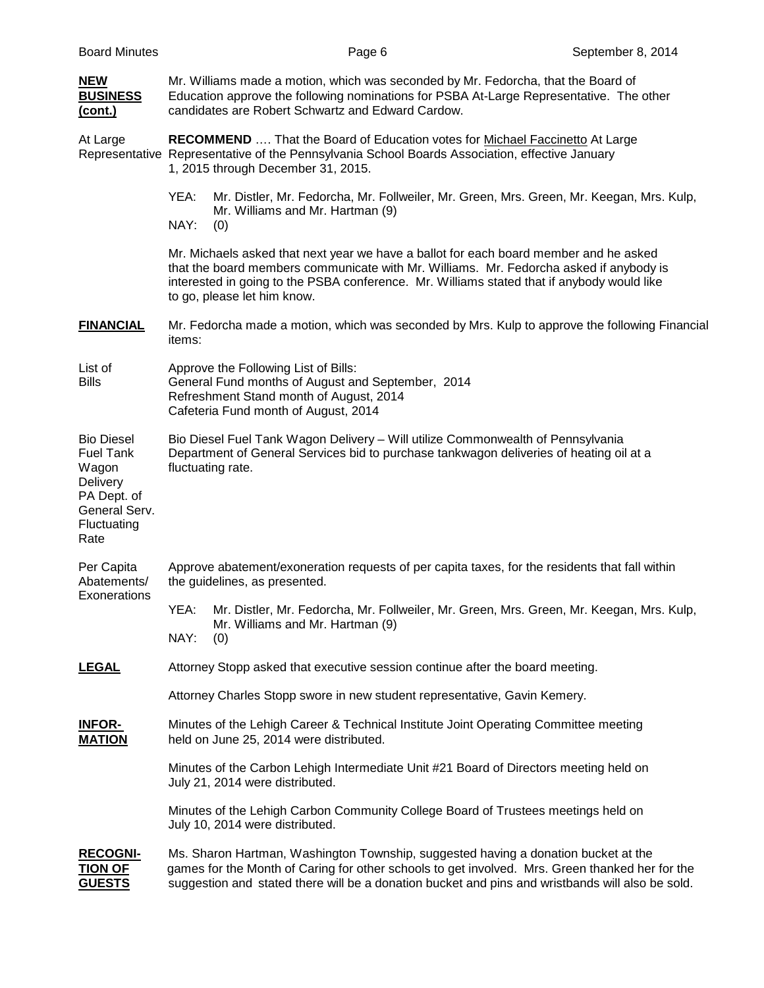| <b>NEW</b><br><b>BUSINESS</b><br>(cont.)                                                                                 | Mr. Williams made a motion, which was seconded by Mr. Fedorcha, that the Board of<br>Education approve the following nominations for PSBA At-Large Representative. The other<br>candidates are Robert Schwartz and Edward Cardow.                                                                            |  |
|--------------------------------------------------------------------------------------------------------------------------|--------------------------------------------------------------------------------------------------------------------------------------------------------------------------------------------------------------------------------------------------------------------------------------------------------------|--|
| At Large                                                                                                                 | RECOMMEND  That the Board of Education votes for Michael Faccinetto At Large<br>Representative Representative of the Pennsylvania School Boards Association, effective January<br>1, 2015 through December 31, 2015.                                                                                         |  |
|                                                                                                                          | YEA:<br>Mr. Distler, Mr. Fedorcha, Mr. Follweiler, Mr. Green, Mrs. Green, Mr. Keegan, Mrs. Kulp,<br>Mr. Williams and Mr. Hartman (9)<br>NAY:<br>(0)                                                                                                                                                          |  |
|                                                                                                                          | Mr. Michaels asked that next year we have a ballot for each board member and he asked<br>that the board members communicate with Mr. Williams. Mr. Fedorcha asked if anybody is<br>interested in going to the PSBA conference. Mr. Williams stated that if anybody would like<br>to go, please let him know. |  |
| <b>FINANCIAL</b>                                                                                                         | Mr. Fedorcha made a motion, which was seconded by Mrs. Kulp to approve the following Financial<br>items:                                                                                                                                                                                                     |  |
| List of<br><b>Bills</b>                                                                                                  | Approve the Following List of Bills:<br>General Fund months of August and September, 2014<br>Refreshment Stand month of August, 2014<br>Cafeteria Fund month of August, 2014                                                                                                                                 |  |
| <b>Bio Diesel</b><br><b>Fuel Tank</b><br>Wagon<br><b>Delivery</b><br>PA Dept. of<br>General Serv.<br>Fluctuating<br>Rate | Bio Diesel Fuel Tank Wagon Delivery - Will utilize Commonwealth of Pennsylvania<br>Department of General Services bid to purchase tankwagon deliveries of heating oil at a<br>fluctuating rate.                                                                                                              |  |
| Per Capita<br>Abatements/                                                                                                | Approve abatement/exoneration requests of per capita taxes, for the residents that fall within<br>the guidelines, as presented.                                                                                                                                                                              |  |
| Exonerations                                                                                                             | YEA:<br>Mr. Distler, Mr. Fedorcha, Mr. Follweiler, Mr. Green, Mrs. Green, Mr. Keegan, Mrs. Kulp,<br>Mr. Williams and Mr. Hartman (9)<br>NAY:<br>(0)                                                                                                                                                          |  |
| <b>LEGAL</b>                                                                                                             | Attorney Stopp asked that executive session continue after the board meeting.                                                                                                                                                                                                                                |  |
|                                                                                                                          | Attorney Charles Stopp swore in new student representative, Gavin Kemery.                                                                                                                                                                                                                                    |  |
| <b>INFOR-</b><br><b>MATION</b>                                                                                           | Minutes of the Lehigh Career & Technical Institute Joint Operating Committee meeting<br>held on June 25, 2014 were distributed.                                                                                                                                                                              |  |
|                                                                                                                          | Minutes of the Carbon Lehigh Intermediate Unit #21 Board of Directors meeting held on<br>July 21, 2014 were distributed.                                                                                                                                                                                     |  |
|                                                                                                                          | Minutes of the Lehigh Carbon Community College Board of Trustees meetings held on<br>July 10, 2014 were distributed.                                                                                                                                                                                         |  |
| <b>RECOGNI-</b><br><b>TION OF</b><br><b>GUESTS</b>                                                                       | Ms. Sharon Hartman, Washington Township, suggested having a donation bucket at the<br>games for the Month of Caring for other schools to get involved. Mrs. Green thanked her for the<br>suggestion and stated there will be a donation bucket and pins and wristbands will also be sold.                    |  |